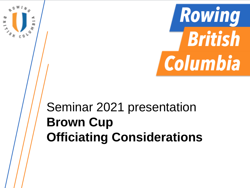

# Seminar 2021 presentation **Brown Cup Officiating Considerations**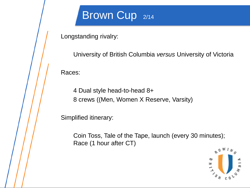### Brown Cup 2/14

Longstanding rivalry:

University of British Columbia *versus* University of Victoria Races:

4 Dual style head-to-head 8+ 8 crews ((Men, Women X Reserve, Varsity)

Simplified itinerary:

Coin Toss, Tale of the Tape, launch (every 30 minutes); Race (1 hour after CT)

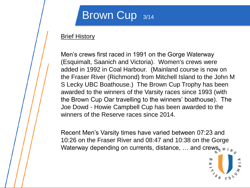### Brown Cup 3/14

#### **Brief History**

Men's crews first raced in 1991 on the Gorge Waterway (Esquimalt, Saanich and Victoria). Women's crews were added in 1992 in Coal Harbour. (Mainland course is now on the Fraser River (Richmond) from Mitchell Island to the John M S Lecky UBC Boathouse.) The Brown Cup Trophy has been awarded to the winners of the Varsity races since 1993 (with the Brown Cup Oar travelling to the winners' boathouse). The Joe Dowd - Howie Campbell Cup has been awarded to the winners of the Reserve races since 2014.

Recent Men's Varsity times have varied between 07:23 and 10:26 on the Fraser River and 08:47 and 10:38 on the Gorge Waterway depending on currents, distance, ... and crews, w  $I_{N_A}$ 

Ε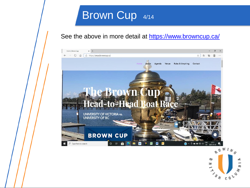### Brown Cup 4/14

#### See the above in more detail at<https://www.browncup.ca/>



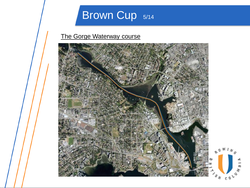## Brown Cup 5/14

#### The Gorge Waterway course

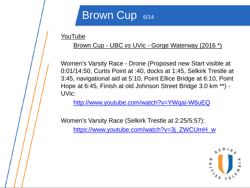### Brown Cup 6/14

**YouTube** 

#### Brown Cup - UBC *vs* UVic - Gorge Waterway (2016 \*)

Women's Varsity Race - Drone (Proposed new Start visible at 0:01/14:50, Curtis Point at :40, docks at 1:45, Selkirk Trestle at 3:45, navigational aid at 5:10, Point Ellice Bridge at 6:10, Point Hope at 6:45, Finish at old Johnson Street Bridge 3.0 km \*\*) - UVic:

<http://www.youtube.com/watch?v=YWqai-W6uEQ>

Women's Varsity Race (Selkirk Trestle at 2:25/5:57):

[https://www.youtube.com/watch?v=3j\\_ZWCUmH\\_w](https://www.youtube.com/watch?v=3j_ZWCUmH_w)

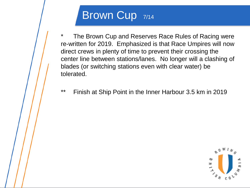### Brown Cup 7/14

\* The Brown Cup and Reserves Race Rules of Racing were re-written for 2019. Emphasized is that Race Umpires will now direct crews in plenty of time to prevent their crossing the center line between stations/lanes. No longer will a clashing of blades (or switching stations even with clear water) be tolerated.

\*\* Finish at Ship Point in the Inner Harbour 3.5 km in 2019

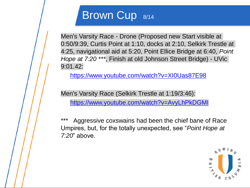### Brown Cup 8/14

Men's Varsity Race - Drone (Proposed new Start visible at 0:50/9:39, Curtis Point at 1:10, docks at 2:10, Selkirk Trestle at 4:25, navigational aid at 5:20, Point Ellice Bridge at 6:40, *Point Hope at 7:20 \*\*\**, Finish at old Johnson Street Bridge) - UVic 9:01.42:

<https://www.youtube.com/watch?v=XI0Uas87E98>

Men's Varsity Race (Selkirk Trestle at 1:19/3:46):

<https://www.youtube.com/watch?v=AvyLhPkDGMI>

Aggressive coxswains had been the chief bane of Race Umpires, but, for the totally unexpected, see "*Point Hope at 7:20*" above.

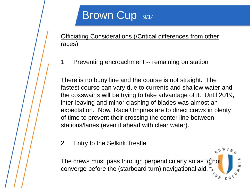### Brown Cup 9/14

Officiating Considerations (/Critical differences from other races)

1 Preventing encroachment -- remaining on station

There is no buoy line and the course is not straight. The fastest course can vary due to currents and shallow water and the coxswains will be trying to take advantage of it. Until 2019, inter-leaving and minor clashing of blades was almost an expectation. Now, Race Umpires are to direct crews in plenty of time to prevent their crossing the center line between stations/lanes (even if ahead with clear water).

2 Entry to the Selkirk Trestle

The crews must pass through perpendicularly so as to not converge before the (starboard turn) navigational aid.  $s_{H}$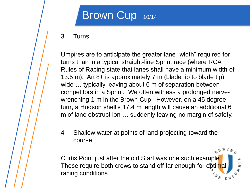### Brown Cup 10/14

#### 3 Turns

Umpires are to anticipate the greater lane "width" required for turns than in a typical straight-line Sprint race (where RCA Rules of Racing state that lanes shall have a minimum width of 13.5 m). An 8+ is approximately 7 m (blade tip to blade tip) wide ... typically leaving about 6 m of separation between competitors in a Sprint. We often witness a prolonged nervewrenching 1 m in the Brown Cup! However, on a 45 degree turn, a Hudson shell's 17.4 m length will cause an additional 6 m of lane obstruct ion … suddenly leaving no margin of safety.

4 Shallow water at points of land projecting toward the course

Curtis Point just after the old Start was one such example. These require both crews to stand off far enough for optimal racing conditions.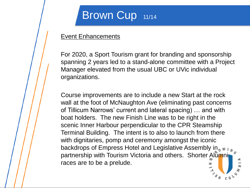### Brown Cup 11/14

#### **Event Enhancements**

For 2020, a Sport Tourism grant for branding and sponsorship spanning 2 years led to a stand-alone committee with a Project Manager elevated from the usual UBC or UVic individual organizations.

Course improvements are to include a new Start at the rock wall at the foot of McNaughton Ave (eliminating past concerns of Tillicum Narrows' current and lateral spacing) … and with boat holders. The new Finish Line was to be right in the scenic Inner Harbour perpendicular to the CPR Steamship Terminal Building. The intent is to also to launch from there with dignitaries, pomp and ceremony amongst the iconic backdrops of Empress Hotel and Legislative Assembly in  $\sqrt{m}$ partnership with Tourism Victoria and others. Shorter Alumni races are to be a prelude.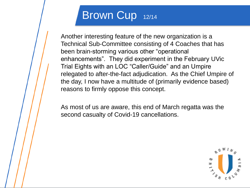### Brown Cup 12/14

Another interesting feature of the new organization is a Technical Sub-Committee consisting of 4 Coaches that has been brain-storming various other "operational enhancements". They did experiment in the February UVic Trial Eights with an LOC "Caller/Guide" and an Umpire relegated to after-the-fact adjudication. As the Chief Umpire of the day, I now have a multitude of (primarily evidence based) reasons to firmly oppose this concept.

As most of us are aware, this end of March regatta was the second casualty of Covid-19 cancellations.

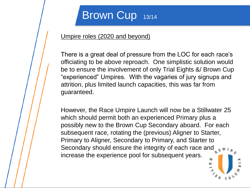### Brown Cup 13/14

#### Umpire roles (2020 and beyond)

There is a great deal of pressure from the LOC for each race's officiating to be above reproach. One simplistic solution would be to ensure the involvement of only Trial Eights &/ Brown Cup "experienced" Umpires. With the vagaries of jury signups and attrition, plus limited launch capacities, this was far from guaranteed.

However, the Race Umpire Launch will now be a Stillwater 25 which should permit both an experienced Primary plus a possibly new to the Brown Cup Secondary aboard. For each subsequent race, rotating the (previous) Aligner to Starter, Primary to Aligner, Secondary to Primary, and Starter to Secondary should ensure the integrity of each race and  $\sqrt[n]{\mathbb{R}}$ increase the experience pool for subsequent years.

H